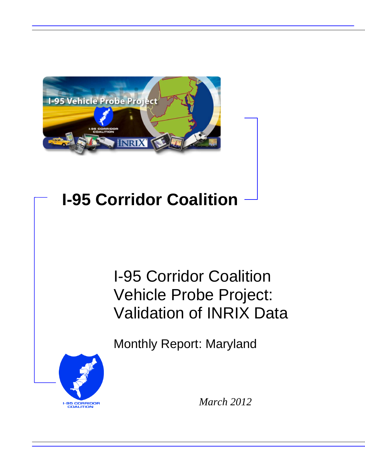

# **I-95 Corridor Coalition**

# I-95 Corridor Coalition Vehicle Probe Project: Validation of INRIX Data

Monthly Report: Maryland



*March 2012*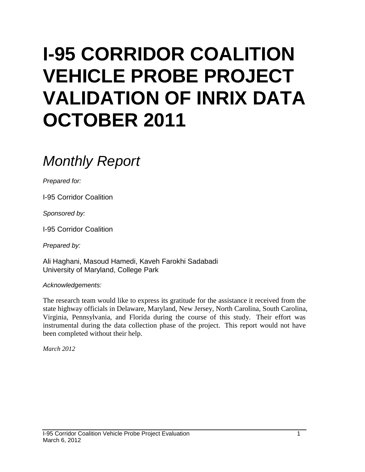# **I-95 CORRIDOR COALITION VEHICLE PROBE PROJECT VALIDATION OF INRIX DATA OCTOBER 2011**

# *Monthly Report*

*Prepared for:*

I-95 Corridor Coalition

*Sponsored by:*

I-95 Corridor Coalition

*Prepared by:*

Ali Haghani, Masoud Hamedi, Kaveh Farokhi Sadabadi University of Maryland, College Park

*Acknowledgements:*

The research team would like to express its gratitude for the assistance it received from the state highway officials in Delaware, Maryland, New Jersey, North Carolina, South Carolina, Virginia, Pennsylvania, and Florida during the course of this study. Their effort was instrumental during the data collection phase of the project. This report would not have been completed without their help.

*March 2012*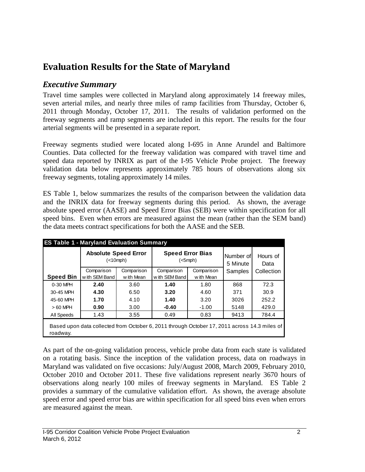# **Evaluation Results for the State of Maryland**

## *Executive Summary*

Travel time samples were collected in Maryland along approximately 14 freeway miles, seven arterial miles, and nearly three miles of ramp facilities from Thursday, October 6, 2011 through Monday, October 17, 2011. The results of validation performed on the freeway segments and ramp segments are included in this report. The results for the four arterial segments will be presented in a separate report.

Freeway segments studied were located along I-695 in Anne Arundel and Baltimore Counties. Data collected for the freeway validation was compared with travel time and speed data reported by INRIX as part of the I-95 Vehicle Probe project. The freeway validation data below represents approximately 785 hours of observations along six freeway segments, totaling approximately 14 miles.

ES Table 1, below summarizes the results of the comparison between the validation data and the INRIX data for freeway segments during this period. As shown, the average absolute speed error (AASE) and Speed Error Bias (SEB) were within specification for all speed bins. Even when errors are measured against the mean (rather than the SEM band) the data meets contract specifications for both the AASE and the SEB.

| <b>ES Table 1 - Maryland Evaluation Summary</b> |                                                                                              |                          |                                          |                          |                       |                  |  |  |  |
|-------------------------------------------------|----------------------------------------------------------------------------------------------|--------------------------|------------------------------------------|--------------------------|-----------------------|------------------|--|--|--|
|                                                 | <b>Absolute Speed Error</b><br>(<10 mph)                                                     |                          | <b>Speed Error Bias</b><br>$(<5$ mph $)$ |                          | Number of<br>5 Minute | Hours of<br>Data |  |  |  |
| <b>Speed Bin</b>                                | Comparison<br>w ith SEM Band                                                                 | Comparison<br>w ith Mean | Comparison<br>with SEM Band              | Comparison<br>w ith Mean | Samples               | Collection       |  |  |  |
| 0-30 MPH                                        | 2.40                                                                                         | 3.60                     | 1.40                                     | 1.80                     | 868                   | 72.3             |  |  |  |
| 30-45 MPH                                       | 4.30                                                                                         | 6.50                     | 3.20                                     | 4.60                     | 371                   | 30.9             |  |  |  |
| 45-60 MPH                                       | 1.70                                                                                         | 4.10                     | 1.40                                     | 3.20                     | 3026                  | 252.2            |  |  |  |
| $>60$ MPH                                       | 0.90                                                                                         | 3.00                     | $-0.40$                                  | $-1.00$                  | 5148                  | 429.0            |  |  |  |
| All Speeds                                      | 1.43                                                                                         | 3.55                     | 0.49                                     | 0.83                     | 9413                  | 784.4            |  |  |  |
| roadway.                                        | Based upon data collected from October 6, 2011 through October 17, 2011 across 14.3 miles of |                          |                                          |                          |                       |                  |  |  |  |

As part of the on-going validation process, vehicle probe data from each state is validated on a rotating basis. Since the inception of the validation process, data on roadways in Maryland was validated on five occasions: July/August 2008, March 2009, February 2010, October 2010 and October 2011. These five validations represent nearly 3670 hours of observations along nearly 100 miles of freeway segments in Maryland. ES Table 2 provides a summary of the cumulative validation effort. As shown, the average absolute speed error and speed error bias are within specification for all speed bins even when errors are measured against the mean.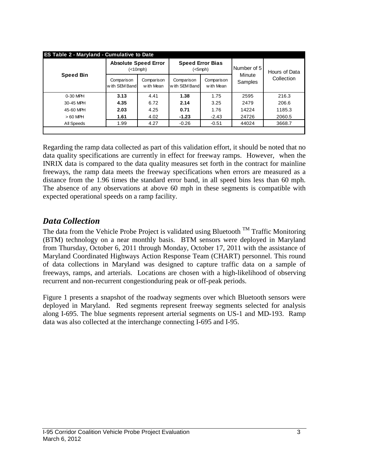| <b>ES Table 2 - Maryland - Cumulative to Date</b> |                                               |                          |                                          |                          |                   |               |  |  |  |
|---------------------------------------------------|-----------------------------------------------|--------------------------|------------------------------------------|--------------------------|-------------------|---------------|--|--|--|
| <b>Speed Bin</b>                                  | <b>Absolute Speed Error</b><br>$(<10$ mph $)$ |                          | <b>Speed Error Bias</b><br>$(<5$ mph $)$ |                          | Number of 5       | Hours of Data |  |  |  |
|                                                   | Comparison<br>with SEM Band                   | Comparison<br>w ith Mean | Comparison<br>with SEM Band              | Comparison<br>w ith Mean | Minute<br>Samples | Collection    |  |  |  |
| $0-30$ MPH                                        | 3.13                                          | 4.41                     | 1.38                                     | 1.75                     | 2595              | 216.3         |  |  |  |
| 30-45 MPH                                         | 4.35                                          | 6.72                     | 2.14                                     | 3.25                     | 2479              | 206.6         |  |  |  |
| 45-60 MPH                                         | 2.03                                          | 4.25                     | 0.71                                     | 1.76                     | 14224             | 1185.3        |  |  |  |
| $>60$ MPH                                         | 1.61                                          | 4.02                     | $-1.23$                                  | $-2.43$                  | 24726             | 2060.5        |  |  |  |
| All Speeds                                        | 1.99                                          | 4.27                     | $-0.26$                                  | $-0.51$                  | 44024             | 3668.7        |  |  |  |
|                                                   |                                               |                          |                                          |                          |                   |               |  |  |  |

Regarding the ramp data collected as part of this validation effort, it should be noted that no data quality specifications are currently in effect for freeway ramps. However, when the INRIX data is compared to the data quality measures set forth in the contract for mainline freeways, the ramp data meets the freeway specifications when errors are measured as a distance from the 1.96 times the standard error band, in all speed bins less than 60 mph. The absence of any observations at above 60 mph in these segments is compatible with expected operational speeds on a ramp facility.

### *Data Collection*

The data from the Vehicle Probe Project is validated using Bluetooth  $^{TM}$  Traffic Monitoring (BTM) technology on a near monthly basis. BTM sensors were deployed in Maryland from Thursday, October 6, 2011 through Monday, October 17, 2011 with the assistance of Maryland Coordinated Highways Action Response Team (CHART) personnel. This round of data collections in Maryland was designed to capture traffic data on a sample of freeways, ramps, and arterials. Locations are chosen with a high-likelihood of observing recurrent and non-recurrent congestionduring peak or off-peak periods.

Figure 1 presents a snapshot of the roadway segments over which Bluetooth sensors were deployed in Maryland. Red segments represent freeway segments selected for analysis along I-695. The blue segments represent arterial segments on US-1 and MD-193. Ramp data was also collected at the interchange connecting I-695 and I-95.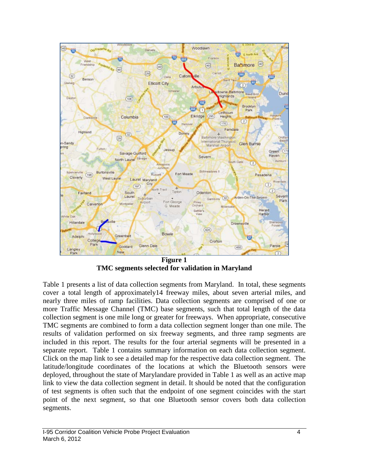

**Figure 1 TMC segments selected for validation in Maryland**

Table 1 presents a list of data collection segments from Maryland. In total, these segments cover a total length of approximately14 freeway miles, about seven arterial miles, and nearly three miles of ramp facilities. Data collection segments are comprised of one or more Traffic Message Channel (TMC) base segments, such that total length of the data collection segment is one mile long or greater for freeways. When appropriate, consecutive TMC segments are combined to form a data collection segment longer than one mile. The results of validation performed on six freeway segments, and three ramp segments are included in this report. The results for the four arterial segments will be presented in a separate report. Table 1 contains summary information on each data collection segment. Click on the map link to see a detailed map for the respective data collection segment. The latitude/longitude coordinates of the locations at which the Bluetooth sensors were deployed, throughout the state of Marylandare provided in Table 1 as well as an active map link to view the data collection segment in detail. It should be noted that the configuration of test segments is often such that the endpoint of one segment coincides with the start point of the next segment, so that one Bluetooth sensor covers both data collection segments.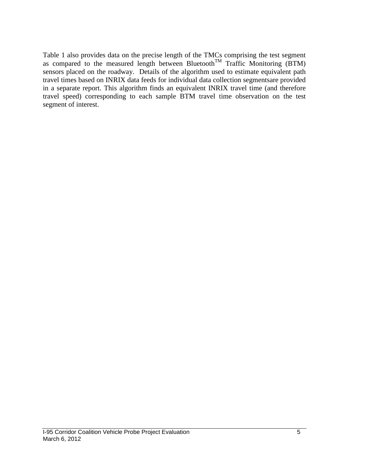Table 1 also provides data on the precise length of the TMCs comprising the test segment as compared to the measured length between Bluetooth<sup>TM</sup> Traffic Monitoring (BTM) sensors placed on the roadway. Details of the algorithm used to estimate equivalent path travel times based on INRIX data feeds for individual data collection segmentsare provided in a separate report. This algorithm finds an equivalent INRIX travel time (and therefore travel speed) corresponding to each sample BTM travel time observation on the test segment of interest.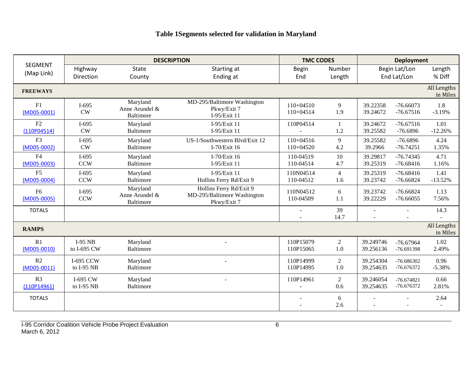# **Table 1Segments selected for validation in Maryland**

|                                 | <b>DESCRIPTION</b>             |                                                |                                                                       | <b>TMC CODES</b>           |                       | <b>Deployment</b>      |                              |                         |
|---------------------------------|--------------------------------|------------------------------------------------|-----------------------------------------------------------------------|----------------------------|-----------------------|------------------------|------------------------------|-------------------------|
| <b>SEGMENT</b><br>(Map Link)    | Highway<br>Direction           | <b>State</b><br>County                         | Starting at<br>Ending at                                              | <b>Begin</b><br>End        | Number<br>Length      |                        | Begin Lat/Lon<br>End Lat/Lon | Length<br>% Diff        |
| <b>FREEWAYS</b>                 |                                |                                                |                                                                       |                            |                       |                        |                              | All Lengths<br>in Miles |
| F1<br>(MD05-0001)               | $I-695$<br>CW                  | Maryland<br>Anne Arundel &<br>Baltimore        | MD-295/Baltimore Washington<br>Pkwy/Exit 7<br>I-95/Exit 11            | $110+04510$<br>110+04514   | 9<br>1.9              | 39.22358<br>39.24672   | $-76.66073$<br>$-76.67516$   | 1.8<br>$-3.19%$         |
| F2<br>(110P04514)               | $I-695$<br>CW                  | Maryland<br><b>Baltimore</b>                   | I-95/Exit 11<br>I-95/Exit 11                                          | 110P04514                  | -1<br>1.2             | 39.24672<br>39.25582   | $-76.67516$<br>$-76.6896$    | 1.01<br>$-12.26%$       |
| F <sub>3</sub><br>(MD05-0002)   | $I-695$<br><b>CW</b>           | Maryland<br><b>Baltimore</b>                   | US-1/Southwestern Blvd/Exit 12<br>I-70/Exit 16                        | $110+04516$<br>$110+04520$ | 9<br>4.2              | 39.25582<br>39.2966    | $-76.6896$<br>$-76.74251$    | 4.24<br>1.35%           |
| F <sub>4</sub><br>$(MD05-0003)$ | $I-695$<br><b>CCW</b>          | Maryland<br><b>Baltimore</b>                   | I-70/Exit $16$<br>I-95/Exit 11                                        | 110-04519<br>110-04514     | 10<br>4.7             | 39.29817<br>39.25319   | $-76.74345$<br>$-76.68416$   | 4.71<br>1.16%           |
| F <sub>5</sub><br>$(MD05-0004)$ | $I-695$<br><b>CCW</b>          | Maryland<br>Baltimore                          | I-95/Exit 11<br>Hollins Ferry Rd/Exit 9                               | 110N04514<br>110-04512     | $\overline{4}$<br>1.6 | 39.25319<br>39.23742   | $-76.68416$<br>$-76.66824$   | 1.41<br>$-13.52%$       |
| F <sub>6</sub><br>(MD05-0005)   | $I-695$<br><b>CCW</b>          | Maryland<br>Anne Arundel &<br><b>Baltimore</b> | Hollins Ferry Rd/Exit 9<br>MD-295/Baltimore Washington<br>Pkwy/Exit 7 | 110N04512<br>110-04509     | 6<br>1.1              | 39.23742<br>39.22229   | $-76.66824$<br>$-76.66055$   | 1.13<br>7.56%           |
| <b>TOTALS</b>                   |                                |                                                |                                                                       |                            | 39<br>14.7            | $\overline{a}$         |                              | 14.3                    |
| <b>RAMPS</b>                    |                                |                                                |                                                                       |                            |                       |                        |                              | All Lengths<br>in Miles |
| R1<br>$(MD05-0010)$             | $I-95$ NB<br>to I-695 CW       | Maryland<br>Baltimore                          |                                                                       | 110P15079<br>110P15065     | 2<br>1.0              | 39.249746<br>39.256136 | $-76.67964$<br>-76.691398    | 1.02<br>2.49%           |
| R2<br>$(MD05-0011)$             | <b>I-695 CCW</b><br>to I-95 NB | Maryland<br><b>Baltimore</b>                   |                                                                       | 110P14999<br>110P14995     | $\overline{c}$<br>1.0 | 39.254304<br>39.254635 | $-76.686302$<br>-76.676372   | 0.96<br>$-5.38%$        |
| R <sub>3</sub><br>(110P14961)   | I-695 CW<br>to I-95 NB         | Maryland<br>Baltimore                          |                                                                       | 110P14961                  | 2<br>0.6              | 39.246054<br>39.254635 | $-76.674821$<br>-76.676372   | 0.66<br>2.81%           |
| <b>TOTALS</b>                   |                                |                                                |                                                                       |                            | 6<br>2.6              |                        |                              | 2.64                    |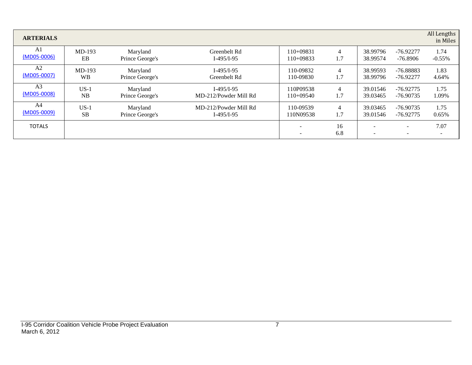| <b>ARTERIALS</b> |           |                 |                       |                               |                |          |                                                      | All Lengths<br>in Miles |
|------------------|-----------|-----------------|-----------------------|-------------------------------|----------------|----------|------------------------------------------------------|-------------------------|
| A1               | $MD-193$  | Maryland        | Greenbelt Rd          | $110+09831$                   | $\overline{4}$ | 38.99796 | -76.92277                                            | 1.74                    |
| $(MD05-0006)$    | EB        | Prince George's | $I-495/I-95$          | 110+09833                     | 1.7            | 38.99574 | $-76.8906$                                           | $-0.55\%$               |
| A <sub>2</sub>   | $MD-193$  | Maryland        | $I-495/I-95$          | 110-09832                     | $\overline{4}$ | 38.99593 | $-76.88883$                                          | 1.83                    |
| (MD05-0007)      | <b>WB</b> | Prince George's | Greenbelt Rd          | 110-09830                     | 1.7            | 38.99796 | $-76.92277$                                          | 4.64%                   |
| A <sub>3</sub>   | $US-1$    | Maryland        | $I-495/I-95$          | 110P09538                     | $\overline{4}$ | 39.01546 | $-76.92775$                                          | 1.75                    |
| (MD05-0008)      | NB        | Prince George's | MD-212/Powder Mill Rd | $110+09540$                   | 1.7            | 39.03465 | $-76.90735$                                          | 1.09%                   |
| A4               | $US-1$    | Maryland        | MD-212/Powder Mill Rd | 110-09539                     | $\overline{4}$ | 39.03465 | $-76.90735$                                          | 1.75                    |
| $(MD05-0009)$    | <b>SB</b> | Prince George's | $I-495/I-95$          | 110N09538                     | 1.7            | 39.01546 | $-76.92775$                                          | 0.65%                   |
| <b>TOTALS</b>    |           |                 |                       | -<br>$\overline{\phantom{0}}$ | 16<br>6.8      |          | $\overline{\phantom{a}}$<br>$\overline{\phantom{a}}$ | 7.07                    |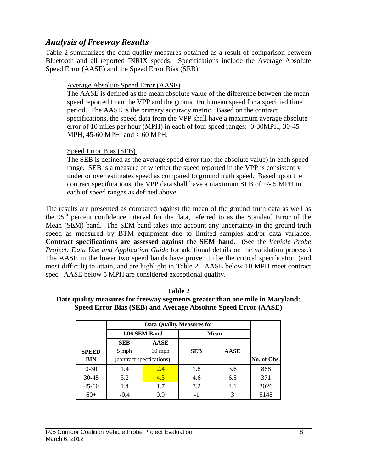### *Analysis of Freeway Results*

Table 2 summarizes the data quality measures obtained as a result of comparison between Bluetooth and all reported INRIX speeds. Specifications include the Average Absolute Speed Error (AASE) and the Speed Error Bias (SEB).

#### Average Absolute Speed Error (AASE)

The AASE is defined as the mean absolute value of the difference between the mean speed reported from the VPP and the ground truth mean speed for a specified time period. The AASE is the primary accuracy metric. Based on the contract specifications, the speed data from the VPP shall have a maximum average absolute error of 10 miles per hour (MPH) in each of four speed ranges: 0-30MPH, 30-45 MPH, 45-60 MPH, and > 60 MPH.

#### Speed Error Bias (SEB)

The SEB is defined as the average speed error (not the absolute value) in each speed range. SEB is a measure of whether the speed reported in the VPP is consistently under or over estimates speed as compared to ground truth speed. Based upon the contract specifications, the VPP data shall have a maximum SEB of  $+/-$  5 MPH in each of speed ranges as defined above.

The results are presented as compared against the mean of the ground truth data as well as the 95<sup>th</sup> percent confidence interval for the data, referred to as the Standard Error of the Mean (SEM) band. The SEM band takes into account any uncertainty in the ground truth speed as measured by BTM equipment due to limited samples and/or data variance. **Contract specifications are assessed against the SEM band**. (See the *Vehicle Probe Project: Data Use and Application Guide* for additional details on the validation process.) The AASE in the lower two speed bands have proven to be the critical specification (and most difficult) to attain, and are highlight in Table 2. AASE below 10 MPH meet contract spec. AASE below 5 MPH are considered exceptional quality.

|              |            | 1.96 SEM Band            | <b>Data Quality Measures for</b> | <b>Mean</b> |             |  |  |
|--------------|------------|--------------------------|----------------------------------|-------------|-------------|--|--|
|              | <b>SEB</b> | <b>AASE</b>              |                                  |             |             |  |  |
| <b>SPEED</b> | 5 mph      | $10$ mph                 | <b>SEB</b>                       | <b>AASE</b> |             |  |  |
| <b>BIN</b>   |            | (contract specfications) |                                  |             | No. of Obs. |  |  |
| $0 - 30$     | 1.4        | 2.4                      | 1.8                              | 3.6         | 868         |  |  |
| $30 - 45$    | 3.2        | 4.3                      | 4.6                              | 6.5         | 371         |  |  |
| $45 - 60$    | 1.4        | 1.7                      | 3.2                              | 4.1         | 3026        |  |  |
| $60+$        | $-0.4$     | 0.9                      | -1                               |             | 5148        |  |  |

#### **Table 2 Date quality measures for freeway segments greater than one mile in Maryland:**

**Speed Error Bias (SEB) and Average Absolute Speed Error (AASE)**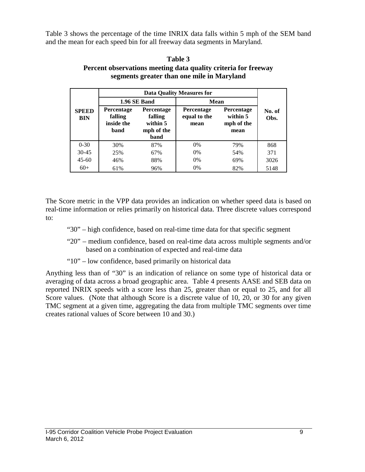Table 3 shows the percentage of the time INRIX data falls within 5 mph of the SEM band and the mean for each speed bin for all freeway data segments in Maryland.

|                     |                                                                                                                      | 1.96 SE Band | Mean                                      |                                                     |                |
|---------------------|----------------------------------------------------------------------------------------------------------------------|--------------|-------------------------------------------|-----------------------------------------------------|----------------|
| <b>SPEED</b><br>BIN | <b>Percentage</b><br><b>Percentage</b><br>falling<br>falling<br>inside the<br>within 5<br>mph of the<br>band<br>band |              | <b>Percentage</b><br>equal to the<br>mean | <b>Percentage</b><br>within 5<br>mph of the<br>mean | No. of<br>Obs. |
| $0 - 30$            | 30%                                                                                                                  | 87%          | $0\%$                                     | 79%                                                 | 868            |
| $30 - 45$           | 25%                                                                                                                  | 67%          | $0\%$                                     | 54%                                                 | 371            |
| $45 - 60$           | 46%                                                                                                                  | 88%          | 0%                                        | 69%                                                 | 3026           |
| $60+$               | 61%                                                                                                                  | 96%          | 0%                                        | 82%                                                 | 5148           |

#### **Table 3 Percent observations meeting data quality criteria for freeway segments greater than one mile in Maryland**

The Score metric in the VPP data provides an indication on whether speed data is based on real-time information or relies primarily on historical data. Three discrete values correspond to:

- "30" high confidence, based on real-time time data for that specific segment
- "20" medium confidence, based on real-time data across multiple segments and/or based on a combination of expected and real-time data
- "10" low confidence, based primarily on historical data

Anything less than of "30" is an indication of reliance on some type of historical data or averaging of data across a broad geographic area. Table 4 presents AASE and SEB data on reported INRIX speeds with a score less than 25, greater than or equal to 25, and for all Score values. (Note that although Score is a discrete value of 10, 20, or 30 for any given TMC segment at a given time, aggregating the data from multiple TMC segments over time creates rational values of Score between 10 and 30.)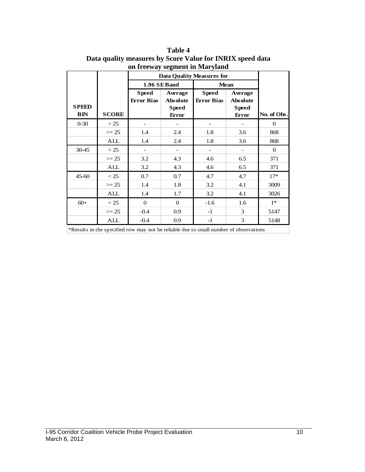|                            |              |                                   | <b>Data Quality Measures for</b>                    |                                                                                       |                                                            |             |  |  |  |  |
|----------------------------|--------------|-----------------------------------|-----------------------------------------------------|---------------------------------------------------------------------------------------|------------------------------------------------------------|-------------|--|--|--|--|
|                            |              |                                   | 1.96 SEBand                                         |                                                                                       | <b>Mean</b>                                                |             |  |  |  |  |
| <b>SPEED</b><br><b>BIN</b> | <b>SCORE</b> | <b>Speed</b><br><b>Error Bias</b> | Average<br><b>Absolute</b><br><b>Speed</b><br>Error | <b>Speed</b><br><b>Error Bias</b>                                                     | Average<br><b>Absolute</b><br><b>Speed</b><br><b>Error</b> | No. of Obs. |  |  |  |  |
| $0 - 30$                   | $<$ 25       |                                   |                                                     |                                                                                       |                                                            | $\theta$    |  |  |  |  |
|                            | $>= 25$      | 1.4                               | 2.4                                                 | 1.8                                                                                   | 3.6                                                        | 868         |  |  |  |  |
|                            | ALL          | 1.4                               | 2.4                                                 | 1.8                                                                                   | 3.6                                                        | 868         |  |  |  |  |
| 30-45                      | < 25         |                                   |                                                     |                                                                                       |                                                            | $\Omega$    |  |  |  |  |
|                            | $>= 25$      | 3.2                               | 4.3                                                 | 4.6                                                                                   | 6.5                                                        | 371         |  |  |  |  |
|                            | ALL          | 3.2                               | 4.3                                                 | 4.6                                                                                   | 6.5                                                        | 371         |  |  |  |  |
| $45 - 60$                  | < 25         | 0.7                               | 0.7                                                 | 4.7                                                                                   | 4.7                                                        | $17*$       |  |  |  |  |
|                            | $>= 25$      | 1.4                               | 1.8                                                 | 3.2                                                                                   | 4.1                                                        | 3009        |  |  |  |  |
|                            | ALL          | 1.4                               | 1.7                                                 | 3.2                                                                                   | 4.1                                                        | 3026        |  |  |  |  |
| $60+$                      | < 25         | $\mathbf{0}$                      | $\theta$                                            | $-1.6$                                                                                | 1.6                                                        | $1*$        |  |  |  |  |
|                            | $>= 25$      | $-0.4$                            | 0.9                                                 | $-1$                                                                                  | 3                                                          | 5147        |  |  |  |  |
|                            | ALL          | $-0.4$                            | 0.9                                                 | $-1$                                                                                  | 3                                                          | 5148        |  |  |  |  |
|                            |              |                                   |                                                     | *Results in the specified row may not be reliable due to small number of observations |                                                            |             |  |  |  |  |

**Table 4 Data quality measures by Score Value for INRIX speed data on freeway segment in Maryland**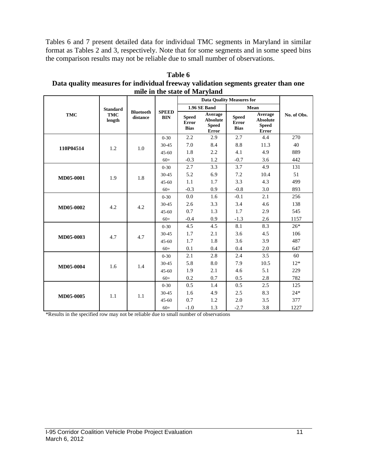Tables 6 and 7 present detailed data for individual TMC segments in Maryland in similar format as Tables 2 and 3, respectively. Note that for some segments and in some speed bins the comparison results may not be reliable due to small number of observations.

| mile in the state of Maryland |                      |                              |                            |                                             |                                                            |                                      |                                                            |             |  |
|-------------------------------|----------------------|------------------------------|----------------------------|---------------------------------------------|------------------------------------------------------------|--------------------------------------|------------------------------------------------------------|-------------|--|
|                               |                      |                              |                            |                                             | <b>Data Quality Measures for</b>                           |                                      |                                                            |             |  |
|                               | <b>Standard</b>      |                              |                            |                                             | 1.96 SE Band                                               | Mean                                 |                                                            |             |  |
| <b>TMC</b>                    | <b>TMC</b><br>length | <b>Bluetooth</b><br>distance | <b>SPEED</b><br><b>BIN</b> | <b>Speed</b><br><b>Error</b><br><b>Bias</b> | Average<br><b>Absolute</b><br><b>Speed</b><br><b>Error</b> | <b>Speed</b><br>Error<br><b>Bias</b> | Average<br><b>Absolute</b><br><b>Speed</b><br><b>Error</b> | No. of Obs. |  |
|                               |                      |                              | $0 - 30$                   | 2.2                                         | 2.9                                                        | 2.7                                  | 4.4                                                        | 270         |  |
| 110P04514                     | 1.2                  | 1.0                          | $30 - 45$                  | 7.0                                         | 8.4                                                        | 8.8                                  | 11.3                                                       | 40          |  |
|                               |                      |                              | $45 - 60$                  | 1.8                                         | 2.2                                                        | 4.1                                  | 4.9                                                        | 889         |  |
|                               |                      |                              | $60+$                      | $-0.3$                                      | 1.2                                                        | $-0.7$                               | 3.6                                                        | 442         |  |
|                               |                      |                              | $0 - 30$                   | 2.7                                         | 3.3                                                        | 3.7                                  | 4.9                                                        | 131         |  |
| MD05-0001                     | 1.9                  | 1.8                          | $30 - 45$                  | 5.2                                         | 6.9                                                        | 7.2                                  | 10.4                                                       | 51          |  |
|                               |                      |                              | $45 - 60$                  | 1.1                                         | 1.7                                                        | 3.3                                  | 4.3                                                        | 499         |  |
|                               |                      |                              | $60+$                      | $-0.3$                                      | 0.9                                                        | $-0.8$                               | 3.0                                                        | 893         |  |
|                               |                      | 4.2                          | $0 - 30$                   | 0.0                                         | 1.6                                                        | $-0.1$                               | 2.1                                                        | 256         |  |
| MD05-0002                     | 4.2                  |                              | 30-45                      | 2.6                                         | 3.3                                                        | 3.4                                  | 4.6                                                        | 138         |  |
|                               |                      |                              | $45 - 60$                  | 0.7                                         | 1.3                                                        | 1.7                                  | 2.9                                                        | 545         |  |
|                               |                      |                              | $60+$                      | $-0.4$                                      | 0.9                                                        | $-1.3$                               | 2.6                                                        | 1157        |  |
|                               |                      |                              | $0 - 30$                   | 4.5                                         | 4.5                                                        | 8.1                                  | 8.3                                                        | $26*$       |  |
| MD05-0003                     | 4.7                  | 4.7                          | 30-45                      | 1.7                                         | 2.1                                                        | 3.6                                  | 4.5                                                        | 106         |  |
|                               |                      |                              | $45 - 60$                  | 1.7                                         | 1.8                                                        | 3.6                                  | 3.9                                                        | 487         |  |
|                               |                      |                              | $60+$                      | 0.1                                         | 0.4                                                        | 0.4                                  | 2.0                                                        | 647         |  |
|                               |                      |                              | $0 - 30$                   | 2.1                                         | 2.8                                                        | 2.4                                  | 3.5                                                        | 60          |  |
| MD05-0004                     | 1.6                  | 1.4                          | $30 - 45$                  | 5.8                                         | 8.0                                                        | 7.9                                  | 10.5                                                       | $12*$       |  |
|                               |                      |                              | $45 - 60$                  | 1.9                                         | 2.1                                                        | 4.6                                  | 5.1                                                        | 229         |  |
|                               |                      |                              | $60+$                      | 0.2                                         | 0.7                                                        | 0.5                                  | 2.8                                                        | 782         |  |
|                               |                      |                              | $0 - 30$                   | 0.5                                         | 1.4                                                        | 0.5                                  | 2.5                                                        | 125         |  |
| MD05-0005                     | 1.1                  |                              | $30 - 45$                  | 1.6                                         | 4.9                                                        | 2.5                                  | 8.3                                                        | $24*$       |  |
|                               |                      | 1.1                          | $45 - 60$                  | 0.7                                         | 1.2                                                        | 2.0                                  | 3.5                                                        | 377         |  |
|                               |                      |                              | $60+$                      | $-1.0$                                      | 1.3                                                        | $-2.7$                               | 3.8                                                        | 1227        |  |

**Table 6 Data quality measures for individual freeway validation segments greater than one** 

\*Results in the specified row may not be reliable due to small number of observations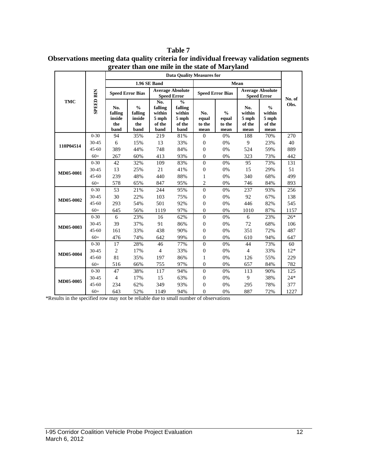#### **Table 7**

| Observations meeting data quality criteria for individual freeway validation segments |
|---------------------------------------------------------------------------------------|
| greater than one mile in the state of Maryland                                        |

|            |                  | <b>Data Ouality Measures for</b>        |                                                   |                                                       |                                                               |                                |                                          |                                               |                                                      |        |
|------------|------------------|-----------------------------------------|---------------------------------------------------|-------------------------------------------------------|---------------------------------------------------------------|--------------------------------|------------------------------------------|-----------------------------------------------|------------------------------------------------------|--------|
|            |                  |                                         |                                                   | <b>1.96 SE Band</b>                                   |                                                               |                                |                                          | <b>Mean</b>                                   |                                                      |        |
|            |                  | <b>Speed Error Bias</b>                 |                                                   |                                                       | <b>Average Absolute</b><br><b>Speed Error</b>                 |                                | <b>Speed Error Bias</b>                  | <b>Average Absolute</b><br><b>Speed Error</b> |                                                      | No. of |
| <b>TMC</b> | <b>SPEED BIN</b> | No.<br>falling<br>inside<br>the<br>band | $\frac{0}{0}$<br>falling<br>inside<br>the<br>band | No.<br>falling<br>within<br>$5$ mph<br>of the<br>band | $\frac{0}{0}$<br>falling<br>within<br>5 mph<br>of the<br>band | No.<br>equal<br>to the<br>mean | $\frac{0}{0}$<br>equal<br>to the<br>mean | No.<br>within<br>$5$ mph<br>of the<br>mean    | $\frac{0}{0}$<br>within<br>$5$ mph<br>of the<br>mean | Obs.   |
|            | $0 - 30$         | 94                                      | 35%                                               | 219                                                   | 81%                                                           | $\mathbf{0}$                   | 0%                                       | 188                                           | 70%                                                  | 270    |
| 110P04514  | 30-45            | 6                                       | 15%                                               | 13                                                    | 33%                                                           | $\theta$                       | 0%                                       | 9                                             | 23%                                                  | 40     |
|            | $45 - 60$        | 389                                     | 44%                                               | 748                                                   | 84%                                                           | $\overline{0}$                 | 0%                                       | 524                                           | 59%                                                  | 889    |
|            | $60+$            | 267                                     | 60%                                               | 413                                                   | 93%                                                           | $\overline{0}$                 | 0%                                       | 323                                           | 73%                                                  | 442    |
| MD05-0001  | $0 - 30$         | 42                                      | 32%                                               | 109                                                   | 83%                                                           | $\overline{0}$                 | 0%                                       | 95                                            | 73%                                                  | 131    |
|            | 30-45            | 13                                      | 25%                                               | 21                                                    | 41%                                                           | $\overline{0}$                 | 0%                                       | 15                                            | 29%                                                  | 51     |
|            | $45 - 60$        | 239                                     | 48%                                               | 440                                                   | 88%                                                           | 1                              | 0%                                       | 340                                           | 68%                                                  | 499    |
|            | $60+$            | 578                                     | 65%                                               | 847                                                   | 95%                                                           | $\overline{2}$                 | 0%                                       | 746                                           | 84%                                                  | 893    |
|            | $0 - 30$         | 53                                      | 21%                                               | 244                                                   | 95%                                                           | $\mathbf{0}$                   | 0%                                       | 237                                           | 93%                                                  | 256    |
| MD05-0002  | 30-45            | 30                                      | 22%                                               | 103                                                   | 75%                                                           | $\overline{0}$                 | 0%                                       | 92                                            | 67%                                                  | 138    |
|            | $45 - 60$        | 293                                     | 54%                                               | 501                                                   | 92%                                                           | $\overline{0}$                 | 0%                                       | 446                                           | 82%                                                  | 545    |
|            | $60+$            | 645                                     | 56%                                               | 1119                                                  | 97%                                                           | $\overline{0}$                 | 0%                                       | 1010                                          | 87%                                                  | 1157   |
|            | $0 - 30$         | 6                                       | 23%                                               | 16                                                    | 62%                                                           | $\theta$                       | 0%                                       | 6                                             | 23%                                                  | $26*$  |
| MD05-0003  | 30-45            | 39                                      | 37%                                               | 91                                                    | 86%                                                           | $\overline{0}$                 | 0%                                       | 72                                            | 68%                                                  | 106    |
|            | $45 - 60$        | 161                                     | 33%                                               | 438                                                   | 90%                                                           | $\theta$                       | 0%                                       | 351                                           | 72%                                                  | 487    |
|            | $60+$            | 476                                     | 74%                                               | 642                                                   | 99%                                                           | $\overline{0}$                 | 0%                                       | 610                                           | 94%                                                  | 647    |
|            | $0 - 30$         | 17                                      | 28%                                               | 46                                                    | 77%                                                           | $\overline{0}$                 | 0%                                       | 44                                            | 73%                                                  | 60     |
| MD05-0004  | 30-45            | $\overline{c}$                          | 17%                                               | $\overline{4}$                                        | 33%                                                           | $\overline{0}$                 | 0%                                       | $\overline{4}$                                | 33%                                                  | $12*$  |
|            | $45 - 60$        | 81                                      | 35%                                               | 197                                                   | 86%                                                           | 1                              | 0%                                       | 126                                           | 55%                                                  | 229    |
|            | $60+$            | 516                                     | 66%                                               | 755                                                   | 97%                                                           | $\overline{0}$                 | 0%                                       | 657                                           | 84%                                                  | 782    |
|            | $0 - 30$         | 47                                      | 38%                                               | 117                                                   | 94%                                                           | $\overline{0}$                 | 0%                                       | 113                                           | 90%                                                  | 125    |
| MD05-0005  | 30-45            | $\overline{4}$                          | 17%                                               | 15                                                    | 63%                                                           | $\overline{0}$                 | 0%                                       | 9                                             | 38%                                                  | $24*$  |
|            | $45 - 60$        | 234                                     | 62%                                               | 349                                                   | 93%                                                           | $\overline{0}$                 | 0%                                       | 295                                           | 78%                                                  | 377    |
|            | $60+$            | 643                                     | 52%                                               | 1149                                                  | 94%                                                           | $\theta$                       | 0%                                       | 887                                           | 72%                                                  | 1227   |

\*Results in the specified row may not be reliable due to small number of observations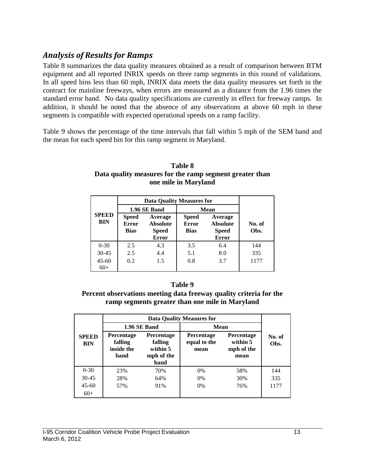# *Analysis of Results for Ramps*

Table 8 summarizes the data quality measures obtained as a result of comparison between BTM equipment and all reported INRIX speeds on three ramp segments in this round of validations. In all speed bins less than 60 mph, INRIX data meets the data quality measures set forth in the contract for mainline freeways, when errors are measured as a distance from the 1.96 times the standard error band. No data quality specifications are currently in effect for freeway ramps. In addition, it should be noted that the absence of any observations at above 60 mph in these segments is compatible with expected operational speeds on a ramp facility.

Table 9 shows the percentage of the time intervals that fall within 5 mph of the SEM band and the mean for each speed bin for this ramp segment in Maryland.

|                            |                                             | <b>Data Quality Measures for</b>                           |                                             |                                                            |                |
|----------------------------|---------------------------------------------|------------------------------------------------------------|---------------------------------------------|------------------------------------------------------------|----------------|
|                            |                                             |                                                            |                                             |                                                            |                |
|                            |                                             | 1.96 SE Band                                               | Mean                                        |                                                            |                |
| <b>SPEED</b><br><b>BIN</b> | <b>Speed</b><br><b>Error</b><br><b>Bias</b> | Average<br><b>Absolute</b><br><b>Speed</b><br><b>Error</b> | <b>Speed</b><br><b>Error</b><br><b>Bias</b> | Average<br><b>Absolute</b><br><b>Speed</b><br><b>Error</b> | No. of<br>Obs. |
| $0 - 30$                   | 2.5                                         | 4.3                                                        | 3.5                                         | 6.4                                                        | 144            |
| $30 - 45$                  | 2.5                                         | 4.4                                                        | 5.1                                         | 8.0                                                        | 335            |
| $45 - 60$<br>$60+$         | 0.2                                         | 1.5                                                        | 0.8                                         | 3.7                                                        | 1177           |

#### **Table 8 Data quality measures for the ramp segment greater than one mile in Maryland**

#### **Table 9**

**Percent observations meeting data freeway quality criteria for the ramp segments greater than one mile in Maryland**

|                            |                                                    | 1.96 SE Band                                                   | Mean                                      |                                                     |                |
|----------------------------|----------------------------------------------------|----------------------------------------------------------------|-------------------------------------------|-----------------------------------------------------|----------------|
| <b>SPEED</b><br><b>BIN</b> | <b>Percentage</b><br>falling<br>inside the<br>band | <b>Percentage</b><br>falling<br>within 5<br>mph of the<br>band | <b>Percentage</b><br>equal to the<br>mean | <b>Percentage</b><br>within 5<br>mph of the<br>mean | No. of<br>Obs. |
| $0 - 30$                   | 23%                                                | 70%                                                            | 0%                                        | 58%                                                 | 144            |
| $30 - 45$                  | 28%                                                | 64%                                                            | 0%                                        | 30%                                                 | 335            |
| $45 - 60$                  | 57%                                                | 91%                                                            | $0\%$                                     | 76%                                                 | 1177           |
| $60+$                      |                                                    |                                                                |                                           |                                                     |                |